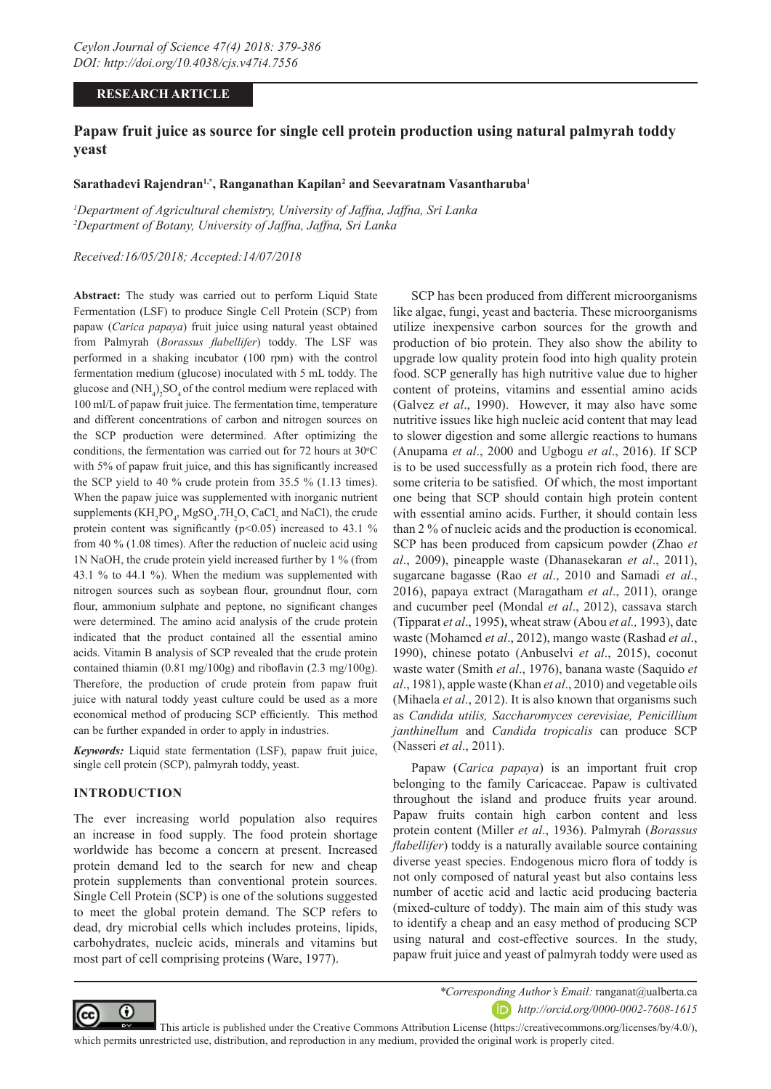## **RESEARCH ARTICLE**

# **Papaw fruit juice as source for single cell protein production using natural palmyrah toddy yeast**

### **Sarathadevi Rajendran1,\*, Ranganathan Kapilan2 and Seevaratnam Vasantharuba1**

*1 Department of Agricultural chemistry, University of Jaffna, Jaffna, Sri Lanka 2 Department of Botany, University of Jaffna, Jaffna, Sri Lanka*

#### *Received:16/05/2018; Accepted:14/07/2018*

**Abstract:** The study was carried out to perform Liquid State Fermentation (LSF) to produce Single Cell Protein (SCP) from papaw (*Carica papaya*) fruit juice using natural yeast obtained from Palmyrah (*Borassus flabellifer*) toddy. The LSF was performed in a shaking incubator (100 rpm) with the control fermentation medium (glucose) inoculated with 5 mL toddy. The glucose and  $(NH_4)_2SO_4$  of the control medium were replaced with 100 ml/L of papaw fruit juice. The fermentation time, temperature and different concentrations of carbon and nitrogen sources on the SCP production were determined. After optimizing the conditions, the fermentation was carried out for  $72$  hours at  $30^{\circ}$ C with 5% of papaw fruit juice, and this has significantly increased the SCP yield to 40 % crude protein from 35.5 % (1.13 times). When the papaw juice was supplemented with inorganic nutrient supplements  $(KH_2PO_4, MgSO_4.7H_2O, CaCl_2$  and NaCl), the crude protein content was significantly ( $p$ <0.05) increased to 43.1 % from 40 % (1.08 times). After the reduction of nucleic acid using 1N NaOH, the crude protein yield increased further by 1 % (from 43.1 % to 44.1 %). When the medium was supplemented with nitrogen sources such as soybean flour, groundnut flour, corn flour, ammonium sulphate and peptone, no significant changes were determined. The amino acid analysis of the crude protein indicated that the product contained all the essential amino acids. Vitamin B analysis of SCP revealed that the crude protein contained thiamin (0.81 mg/100g) and riboflavin (2.3 mg/100g). Therefore, the production of crude protein from papaw fruit juice with natural toddy yeast culture could be used as a more economical method of producing SCP efficiently. This method can be further expanded in order to apply in industries.

*Keywords:* Liquid state fermentation (LSF), papaw fruit juice, single cell protein (SCP), palmyrah toddy, yeast.

#### **INTRODUCTION**

The ever increasing world population also requires an increase in food supply. The food protein shortage worldwide has become a concern at present. Increased protein demand led to the search for new and cheap protein supplements than conventional protein sources. Single Cell Protein (SCP) is one of the solutions suggested to meet the global protein demand. The SCP refers to dead, dry microbial cells which includes proteins, lipids, carbohydrates, nucleic acids, minerals and vitamins but most part of cell comprising proteins (Ware, 1977).

SCP has been produced from different microorganisms like algae, fungi, yeast and bacteria. These microorganisms utilize inexpensive carbon sources for the growth and production of bio protein. They also show the ability to upgrade low quality protein food into high quality protein food. SCP generally has high nutritive value due to higher content of proteins, vitamins and essential amino acids (Galvez *et al*., 1990). However, it may also have some nutritive issues like high nucleic acid content that may lead to slower digestion and some allergic reactions to humans (Anupama *et al*., 2000 and Ugbogu *et al*., 2016). If SCP is to be used successfully as a protein rich food, there are some criteria to be satisfied. Of which, the most important one being that SCP should contain high protein content with essential amino acids. Further, it should contain less than 2 % of nucleic acids and the production is economical. SCP has been produced from capsicum powder (Zhao *et al*., 2009), pineapple waste (Dhanasekaran *et al*., 2011), sugarcane bagasse (Rao *et al*., 2010 and Samadi *et al*., 2016), papaya extract (Maragatham *et al*., 2011), orange and cucumber peel (Mondal *et al*., 2012), cassava starch (Tipparat *et al*., 1995), wheat straw (Abou *et al.,* 1993), date waste (Mohamed *et al*., 2012), mango waste (Rashad *et al*., 1990), chinese potato (Anbuselvi *et al*., 2015), coconut waste water (Smith *et al*., 1976), banana waste (Saquido *et al*., 1981), apple waste (Khan *et al*., 2010) and vegetable oils (Mihaela *et al*., 2012). It is also known that organisms such as *Candida utilis, Saccharomyces cerevisiae, Penicillium janthinellum* and *Candida tropicalis* can produce SCP (Nasseri *et al*., 2011).

Papaw (*Carica papaya*) is an important fruit crop belonging to the family Caricaceae. Papaw is cultivated throughout the island and produce fruits year around. Papaw fruits contain high carbon content and less protein content (Miller *et al*., 1936). Palmyrah (*Borassus flabellifer*) toddy is a naturally available source containing diverse yeast species. Endogenous micro flora of toddy is not only composed of natural yeast but also contains less number of acetic acid and lactic acid producing bacteria (mixed-culture of toddy). The main aim of this study was to identify a cheap and an easy method of producing SCP using natural and cost-effective sources. In the study, papaw fruit juice and yeast of palmyrah toddy were used as



*\*Corresponding Author's Email:* ranganat@ualberta.ca *http://orcid.org/0000-0002-7608-1615*

 This article is published under the Creative Commons Attribution License (https://creativecommons.org/licenses/by/4.0/), which permits unrestricted use, distribution, and reproduction in any medium, provided the original work is properly cited.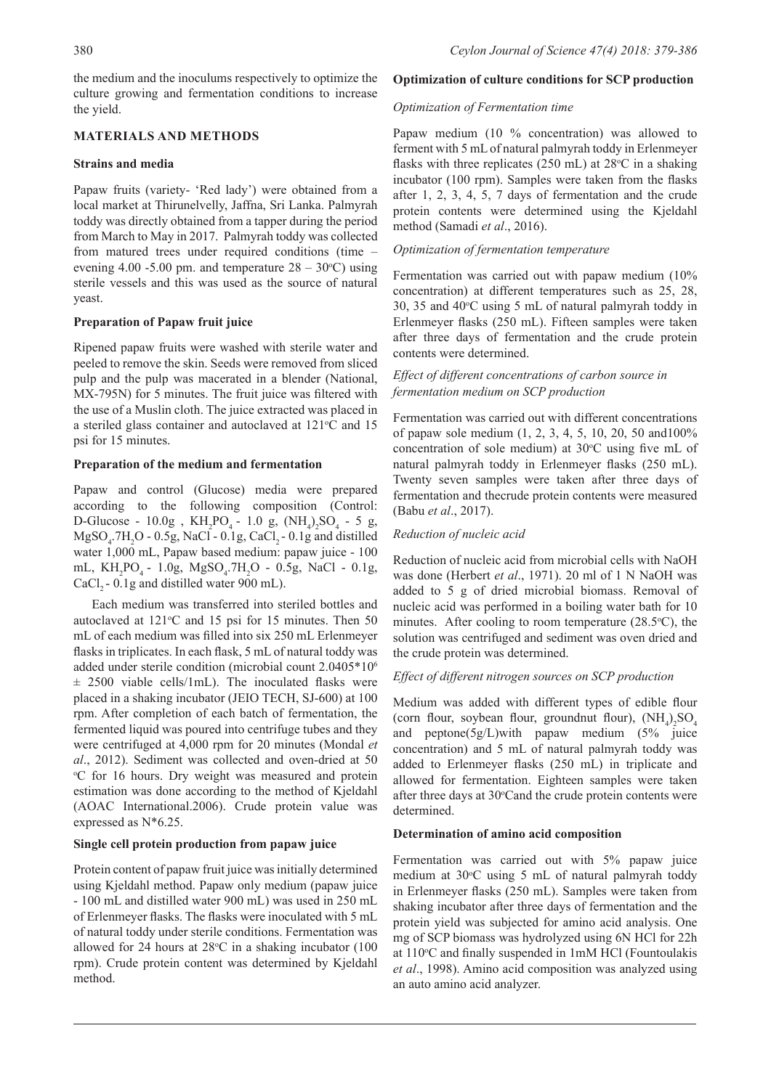the medium and the inoculums respectively to optimize the culture growing and fermentation conditions to increase the yield.

# **MATERIALS AND METHODS**

## **Strains and media**

Papaw fruits (variety- 'Red lady') were obtained from a local market at Thirunelvelly, Jaffna, Sri Lanka. Palmyrah toddy was directly obtained from a tapper during the period from March to May in 2017. Palmyrah toddy was collected from matured trees under required conditions (time – evening 4.00 -5.00 pm. and temperature  $28 - 30^{\circ}$ C) using sterile vessels and this was used as the source of natural yeast.

## **Preparation of Papaw fruit juice**

Ripened papaw fruits were washed with sterile water and peeled to remove the skin. Seeds were removed from sliced pulp and the pulp was macerated in a blender (National, MX-795N) for 5 minutes. The fruit juice was filtered with the use of a Muslin cloth. The juice extracted was placed in a steriled glass container and autoclaved at 121°C and 15 psi for 15 minutes.

## **Preparation of the medium and fermentation**

Papaw and control (Glucose) media were prepared according to the following composition (Control: D-Glucose - 10.0g,  $KH_2PO_4$  - 1.0 g,  $(NH_4)_2SO_4$  - 5 g,  $MgSO_4$ .7H<sub>2</sub>O - 0.5g, NaCl - 0.1g, CaCl<sub>2</sub> - 0.1g and distilled water 1,000 mL, Papaw based medium: papaw juice - 100 mL, KH<sub>2</sub>PO<sub>4</sub> - 1.0g, MgSO<sub>4</sub>.7H<sub>2</sub>O - 0.5g, NaCl - 0.1g, CaCl<sub>2</sub> - 0.1g and distilled water 900 mL).

Each medium was transferred into steriled bottles and autoclaved at  $121^{\circ}$ C and 15 psi for 15 minutes. Then 50 mL of each medium was filled into six 250 mL Erlenmeyer flasks in triplicates. In each flask, 5 mL of natural toddy was added under sterile condition (microbial count 2.0405\*106  $\pm$  2500 viable cells/1mL). The inoculated flasks were placed in a shaking incubator (JEIO TECH, SJ-600) at 100 rpm. After completion of each batch of fermentation, the fermented liquid was poured into centrifuge tubes and they were centrifuged at 4,000 rpm for 20 minutes (Mondal *et al*., 2012). Sediment was collected and oven-dried at 50 o C for 16 hours. Dry weight was measured and protein estimation was done according to the method of Kjeldahl (AOAC International.2006). Crude protein value was expressed as N\*6.25.

## **Single cell protein production from papaw juice**

Protein content of papaw fruit juice was initially determined using Kjeldahl method. Papaw only medium (papaw juice - 100 mL and distilled water 900 mL) was used in 250 mL of Erlenmeyer flasks. The flasks were inoculated with 5 mL of natural toddy under sterile conditions. Fermentation was allowed for 24 hours at  $28^{\circ}$ C in a shaking incubator (100 rpm). Crude protein content was determined by Kjeldahl method.

## **Optimization of culture conditions for SCP production**

## *Optimization of Fermentation time*

Papaw medium (10 % concentration) was allowed to ferment with 5 mL of natural palmyrah toddy in Erlenmeyer flasks with three replicates  $(250 \text{ mL})$  at  $28^{\circ}\text{C}$  in a shaking incubator (100 rpm). Samples were taken from the flasks after 1, 2, 3, 4, 5, 7 days of fermentation and the crude protein contents were determined using the Kjeldahl method (Samadi *et al*., 2016).

## *Optimization of fermentation temperature*

Fermentation was carried out with papaw medium (10% concentration) at different temperatures such as 25, 28,  $30, 35$  and  $40^{\circ}$ C using 5 mL of natural palmyrah toddy in Erlenmeyer flasks (250 mL). Fifteen samples were taken after three days of fermentation and the crude protein contents were determined.

## *Effect of different concentrations of carbon source in fermentation medium on SCP production*

Fermentation was carried out with different concentrations of papaw sole medium (1, 2, 3, 4, 5, 10, 20, 50 and100% concentration of sole medium) at  $30^{\circ}$ C using five mL of natural palmyrah toddy in Erlenmeyer flasks (250 mL). Twenty seven samples were taken after three days of fermentation and thecrude protein contents were measured (Babu *et al*., 2017).

## *Reduction of nucleic acid*

Reduction of nucleic acid from microbial cells with NaOH was done (Herbert *et al*., 1971). 20 ml of 1 N NaOH was added to 5 g of dried microbial biomass. Removal of nucleic acid was performed in a boiling water bath for 10 minutes. After cooling to room temperature  $(28.5^{\circ}C)$ , the solution was centrifuged and sediment was oven dried and the crude protein was determined.

## *Effect of different nitrogen sources on SCP production*

Medium was added with different types of edible flour (corn flour, soybean flour, groundnut flour),  $(NH_4)_2SO_4$ and peptone(5g/L)with papaw medium (5% juice concentration) and 5 mL of natural palmyrah toddy was added to Erlenmeyer flasks (250 mL) in triplicate and allowed for fermentation. Eighteen samples were taken after three days at 30°Cand the crude protein contents were determined.

## **Determination of amino acid composition**

Fermentation was carried out with 5% papaw juice medium at 30°C using 5 mL of natural palmyrah toddy in Erlenmeyer flasks (250 mL). Samples were taken from shaking incubator after three days of fermentation and the protein yield was subjected for amino acid analysis. One mg of SCP biomass was hydrolyzed using 6N HCl for 22h at 110°C and finally suspended in 1mM HCl (Fountoulakis *et al*., 1998). Amino acid composition was analyzed using an auto amino acid analyzer.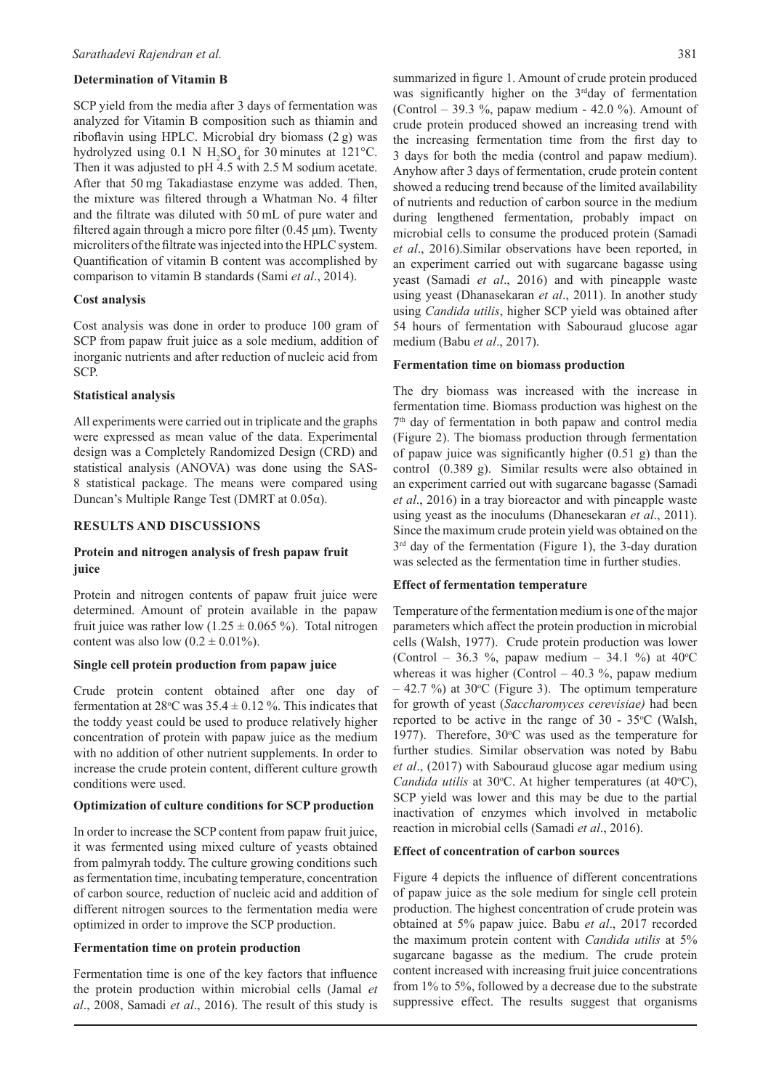#### **Determination of Vitamin B**

SCP yield from the media after 3 days of fermentation was analyzed for Vitamin B composition such as thiamin and riboflavin using HPLC. Microbial dry biomass (2 g) was hydrolyzed using  $0.1$  N H<sub>2</sub>SO<sub>4</sub> for 30 minutes at 121°C. Then it was adjusted to pH 4.5 with 2.5 M sodium acetate. After that 50 mg Takadiastase enzyme was added. Then, the mixture was filtered through a Whatman No. 4 filter and the filtrate was diluted with 50 mL of pure water and filtered again through a micro pore filter  $(0.45 \,\mu\text{m})$ . Twenty microliters of the filtrate was injected into the HPLC system. Quantification of vitamin B content was accomplished by comparison to vitamin B standards (Sami *et al*., 2014).

#### **Cost analysis**

Cost analysis was done in order to produce 100 gram of SCP from papaw fruit juice as a sole medium, addition of inorganic nutrients and after reduction of nucleic acid from SCP.

#### **Statistical analysis**

All experiments were carried out in triplicate and the graphs were expressed as mean value of the data. Experimental design was a Completely Randomized Design (CRD) and statistical analysis (ANOVA) was done using the SAS-8 statistical package. The means were compared using Duncan's Multiple Range Test (DMRT at 0.05α).

#### **RESULTS AND DISCUSSIONS**

## **Protein and nitrogen analysis of fresh papaw fruit juice**

Protein and nitrogen contents of papaw fruit juice were determined. Amount of protein available in the papaw fruit juice was rather low  $(1.25 \pm 0.065 \%)$ . Total nitrogen content was also low  $(0.2 \pm 0.01\%)$ .

## **Single cell protein production from papaw juice**

Crude protein content obtained after one day of fermentation at 28°C was  $35.4 \pm 0.12$  %. This indicates that the toddy yeast could be used to produce relatively higher concentration of protein with papaw juice as the medium with no addition of other nutrient supplements. In order to increase the crude protein content, different culture growth conditions were used.

#### **Optimization of culture conditions for SCP production**

In order to increase the SCP content from papaw fruit juice, it was fermented using mixed culture of yeasts obtained from palmyrah toddy. The culture growing conditions such as fermentation time, incubating temperature, concentration of carbon source, reduction of nucleic acid and addition of different nitrogen sources to the fermentation media were optimized in order to improve the SCP production.

### **Fermentation time on protein production**

Fermentation time is one of the key factors that influence the protein production within microbial cells (Jamal *et al*., 2008, Samadi *et al*., 2016). The result of this study is summarized in figure 1. Amount of crude protein produced was significantly higher on the 3<sup>rd</sup>day of fermentation (Control – 39.3 %, papaw medium - 42.0 %). Amount of crude protein produced showed an increasing trend with the increasing fermentation time from the first day to 3 days for both the media (control and papaw medium). Anyhow after 3 days of fermentation, crude protein content showed a reducing trend because of the limited availability of nutrients and reduction of carbon source in the medium during lengthened fermentation, probably impact on microbial cells to consume the produced protein (Samadi *et al*., 2016).Similar observations have been reported, in an experiment carried out with sugarcane bagasse using yeast (Samadi *et al*., 2016) and with pineapple waste using yeast (Dhanasekaran *et al*., 2011). In another study using *Candida utilis*, higher SCP yield was obtained after 54 hours of fermentation with Sabouraud glucose agar medium (Babu *et al*., 2017).

#### **Fermentation time on biomass production**

The dry biomass was increased with the increase in fermentation time. Biomass production was highest on the 7<sup>th</sup> day of fermentation in both papaw and control media (Figure 2). The biomass production through fermentation of papaw juice was significantly higher (0.51 g) than the control (0.389 g). Similar results were also obtained in an experiment carried out with sugarcane bagasse (Samadi *et al*., 2016) in a tray bioreactor and with pineapple waste using yeast as the inoculums (Dhanesekaran *et al*., 2011). Since the maximum crude protein yield was obtained on the  $3<sup>rd</sup>$  day of the fermentation (Figure 1), the 3-day duration was selected as the fermentation time in further studies.

### **Effect of fermentation temperature**

Temperature of the fermentation medium is one of the major parameters which affect the protein production in microbial cells (Walsh, 1977). Crude protein production was lower (Control – 36.3 %, papaw medium – 34.1 %) at  $40^{\circ}$ C whereas it was higher (Control  $-40.3$ %, papaw medium  $-42.7$  %) at 30 °C (Figure 3). The optimum temperature for growth of yeast (*Saccharomyces cerevisiae)* had been reported to be active in the range of  $30 - 35^{\circ}$ C (Walsh, 1977). Therefore,  $30^{\circ}$ C was used as the temperature for further studies. Similar observation was noted by Babu *et al*., (2017) with Sabouraud glucose agar medium using Candida utilis at 30°C. At higher temperatures (at 40°C), SCP yield was lower and this may be due to the partial inactivation of enzymes which involved in metabolic reaction in microbial cells (Samadi *et al*., 2016).

#### **Effect of concentration of carbon sources**

Figure 4 depicts the influence of different concentrations of papaw juice as the sole medium for single cell protein production. The highest concentration of crude protein was obtained at 5% papaw juice. Babu *et al*., 2017 recorded the maximum protein content with *Candida utilis* at 5% sugarcane bagasse as the medium. The crude protein content increased with increasing fruit juice concentrations from 1% to 5%, followed by a decrease due to the substrate suppressive effect. The results suggest that organisms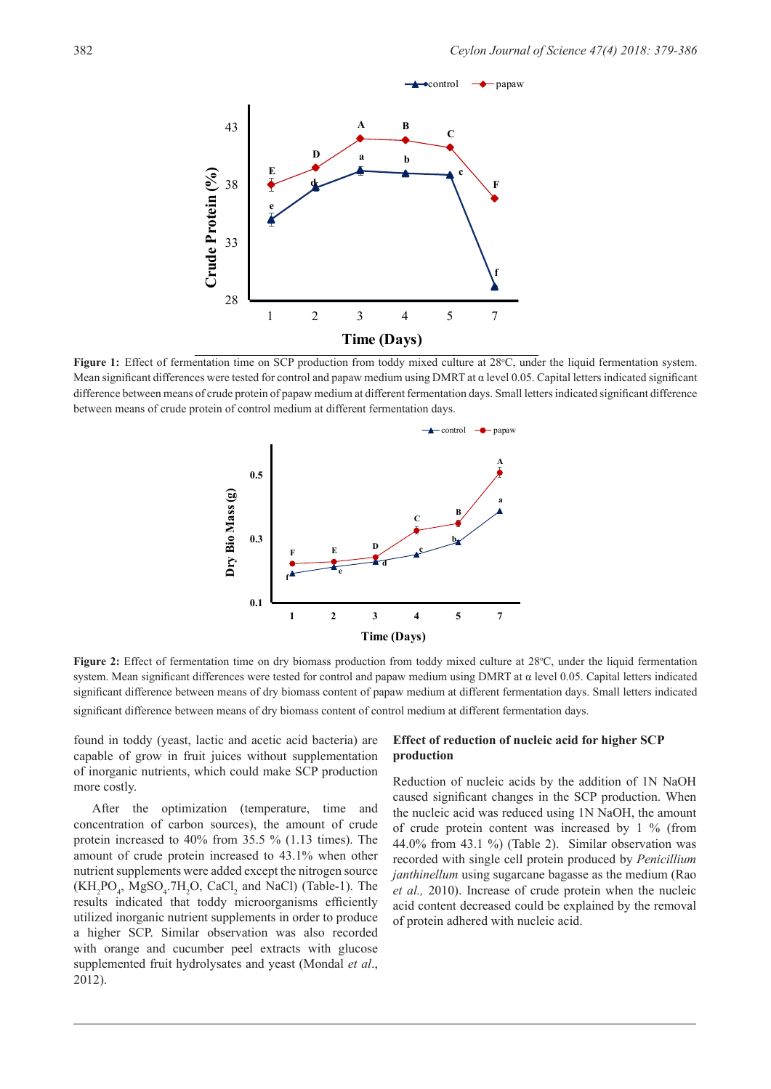

Figure 1: Effect of fermentation time on SCP production from toddy mixed culture at 28°C, under the liquid fermentation system. Mean significant differences were tested for control and papaw medium using DMRT at α level 0.05. Capital letters indicated significant difference between means of crude protein of papaw medium at different fermentation days. Small letters indicated significant difference between means of crude protein of control medium at different fermentation days.



Figure 2: Effect of fermentation time on dry biomass production from toddy mixed culture at 28°C, under the liquid fermentation system. Mean significant differences were tested for control and papaw medium using DMRT at α level 0.05. Capital letters indicated significant difference between means of dry biomass content of papaw medium at different fermentation days. Small letters indicated significant difference between means of dry biomass content of control medium at different fermentation days.

found in toddy (yeast, lactic and acetic acid bacteria) are capable of grow in fruit juices without supplementation of inorganic nutrients, which could make SCP production more costly.

After the optimization (temperature, time and concentration of carbon sources), the amount of crude protein increased to 40% from 35.5 % (1.13 times). The amount of crude protein increased to 43.1% when other nutrient supplements were added except the nitrogen source  $(KH_2PO_4$ ,  $MgSO_4$ .7 $H_2O$ , CaCl<sub>2</sub> and NaCl) (Table-1). The results indicated that toddy microorganisms efficiently utilized inorganic nutrient supplements in order to produce a higher SCP. Similar observation was also recorded with orange and cucumber peel extracts with glucose supplemented fruit hydrolysates and yeast (Mondal *et al*., 2012).

### **Effect of reduction of nucleic acid for higher SCP production**

Reduction of nucleic acids by the addition of 1N NaOH caused significant changes in the SCP production. When the nucleic acid was reduced using 1N NaOH, the amount of crude protein content was increased by 1 % (from 44.0% from 43.1 %) (Table 2). Similar observation was recorded with single cell protein produced by *Penicillium janthinellum* using sugarcane bagasse as the medium (Rao *et al.,* 2010). Increase of crude protein when the nucleic acid content decreased could be explained by the removal of protein adhered with nucleic acid.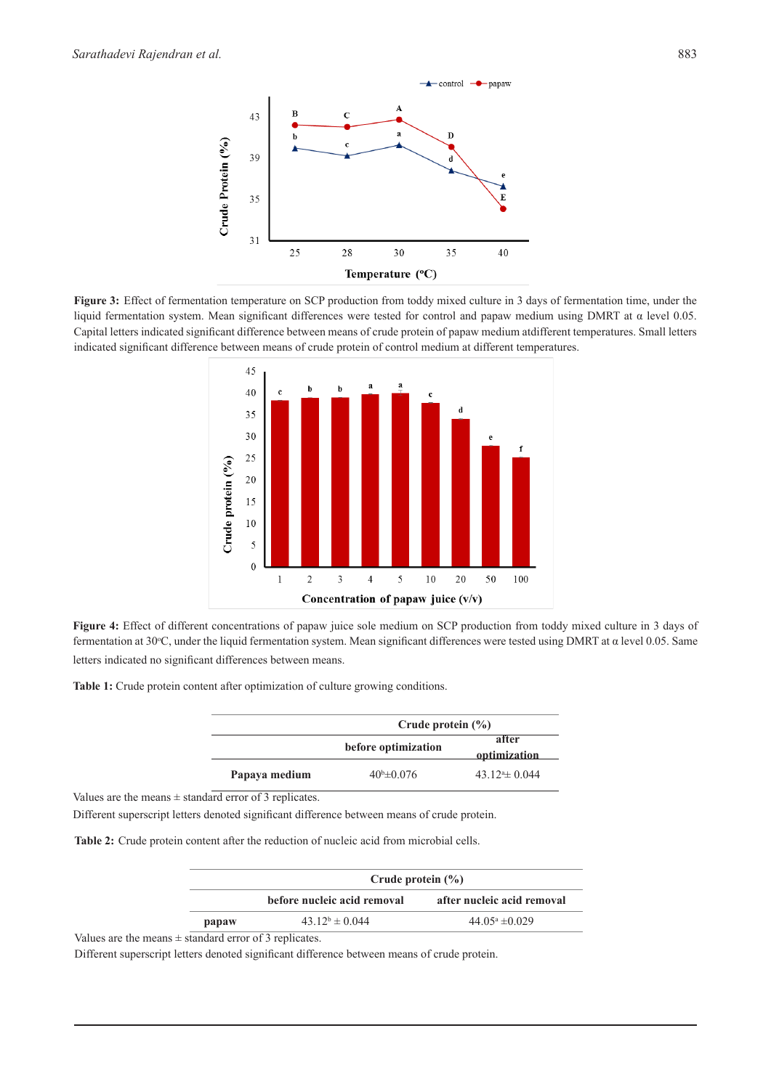

**Figure 3:** Effect of fermentation temperature on SCP production from toddy mixed culture in 3 days of fermentation time, under the liquid fermentation system. Mean significant differences were tested for control and papaw medium using DMRT at α level 0.05. Capital letters indicated significant difference between means of crude protein of papaw medium atdifferent temperatures. Small letters indicated significant difference between means of crude protein of control medium at different temperatures.



**Figure 4:** Effect of different concentrations of papaw juice sole medium on SCP production from toddy mixed culture in 3 days of fermentation at 30°C, under the liquid fermentation system. Mean significant differences were tested using DMRT at  $\alpha$  level 0.05. Same letters indicated no significant differences between means.

**Table 1:** Crude protein content after optimization of culture growing conditions.

|               | Crude protein $(\% )$  |                       |
|---------------|------------------------|-----------------------|
|               | before optimization    | after<br>optimization |
| Papaya medium | $40^{\rm b} \pm 0.076$ | $43.124 \pm 0.044$    |

Values are the means  $\pm$  standard error of 3 replicates.

Different superscript letters denoted significant difference between means of crude protein.

**Table 2:** Crude protein content after the reduction of nucleic acid from microbial cells.

|       | Crude protein $(\% )$       |                            |
|-------|-----------------------------|----------------------------|
|       | before nucleic acid removal | after nucleic acid removal |
| papaw | $43.12^b \pm 0.044$         | $44.05^{\circ} \pm 0.029$  |

Values are the means  $\pm$  standard error of 3 replicates.

Different superscript letters denoted significant difference between means of crude protein.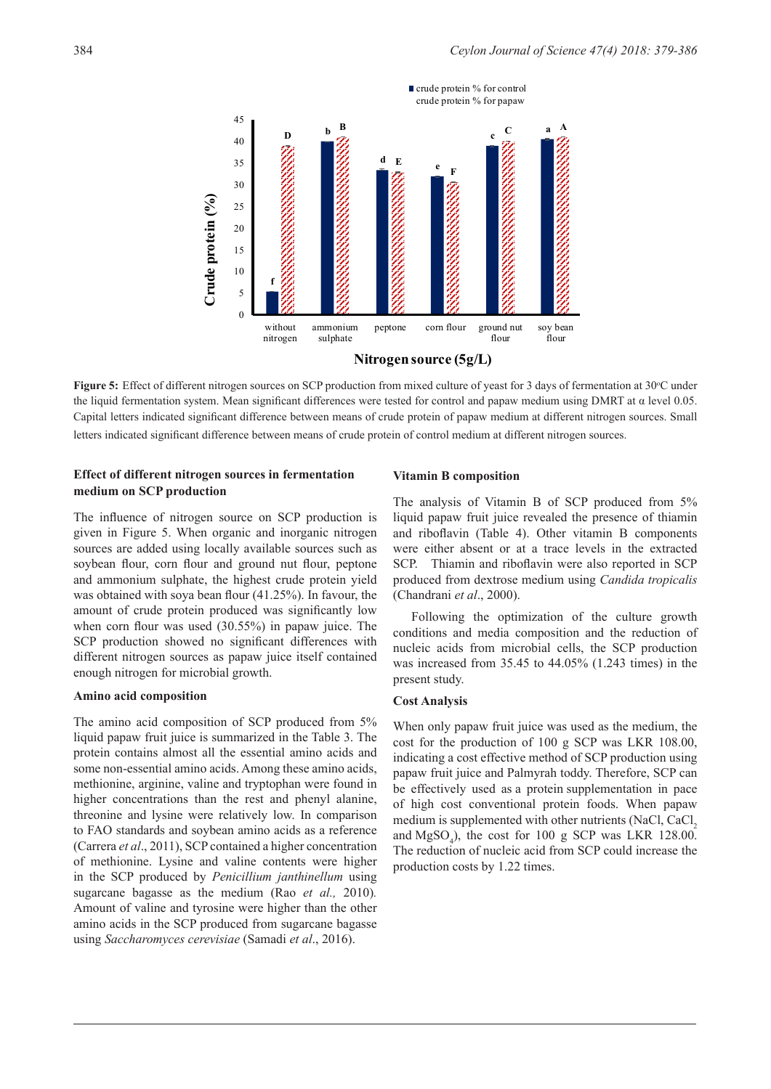

Figure 5: Effect of different nitrogen sources on SCP production from mixed culture of yeast for 3 days of fermentation at 30°C under the liquid fermentation system. Mean significant differences were tested for control and papaw medium using DMRT at α level 0.05. Capital letters indicated significant difference between means of crude protein of papaw medium at different nitrogen sources. Small letters indicated significant difference between means of crude protein of control medium at different nitrogen sources.

## **Effect of different nitrogen sources in fermentation medium on SCP production**

The influence of nitrogen source on SCP production is given in Figure 5. When organic and inorganic nitrogen sources are added using locally available sources such as soybean flour, corn flour and ground nut flour, peptone and ammonium sulphate, the highest crude protein yield was obtained with soya bean flour (41.25%). In favour, the amount of crude protein produced was significantly low when corn flour was used (30.55%) in papaw juice. The SCP production showed no significant differences with different nitrogen sources as papaw juice itself contained enough nitrogen for microbial growth.

#### **Amino acid composition**

The amino acid composition of SCP produced from 5% liquid papaw fruit juice is summarized in the Table 3. The protein contains almost all the essential amino acids and some non-essential amino acids. Among these amino acids, methionine, arginine, valine and tryptophan were found in higher concentrations than the rest and phenyl alanine, threonine and lysine were relatively low. In comparison to FAO standards and soybean amino acids as a reference (Carrera *et al*., 2011), SCP contained a higher concentration of methionine. Lysine and valine contents were higher in the SCP produced by *Penicillium janthinellum* using sugarcane bagasse as the medium (Rao *et al.,* 2010)*.* Amount of valine and tyrosine were higher than the other amino acids in the SCP produced from sugarcane bagasse using *Saccharomyces cerevisiae* (Samadi *et al*., 2016).

#### **Vitamin B composition**

The analysis of Vitamin B of SCP produced from 5% liquid papaw fruit juice revealed the presence of thiamin and riboflavin (Table 4). Other vitamin B components were either absent or at a trace levels in the extracted SCP. Thiamin and riboflavin were also reported in SCP produced from dextrose medium using *Candida tropicalis*  (Chandrani *et al*., 2000).

Following the optimization of the culture growth conditions and media composition and the reduction of nucleic acids from microbial cells, the SCP production was increased from 35.45 to 44.05% (1.243 times) in the present study.

### **Cost Analysis**

When only papaw fruit juice was used as the medium, the cost for the production of 100 g SCP was LKR 108.00, indicating a cost effective method of SCP production using papaw fruit juice and Palmyrah toddy. Therefore, SCP can be effectively used as a protein supplementation in pace of high cost conventional protein foods. When papaw medium is supplemented with other nutrients (NaCl, CaCl, and  $MgSO_4$ ), the cost for 100 g SCP was LKR 128.00. The reduction of nucleic acid from SCP could increase the production costs by 1.22 times.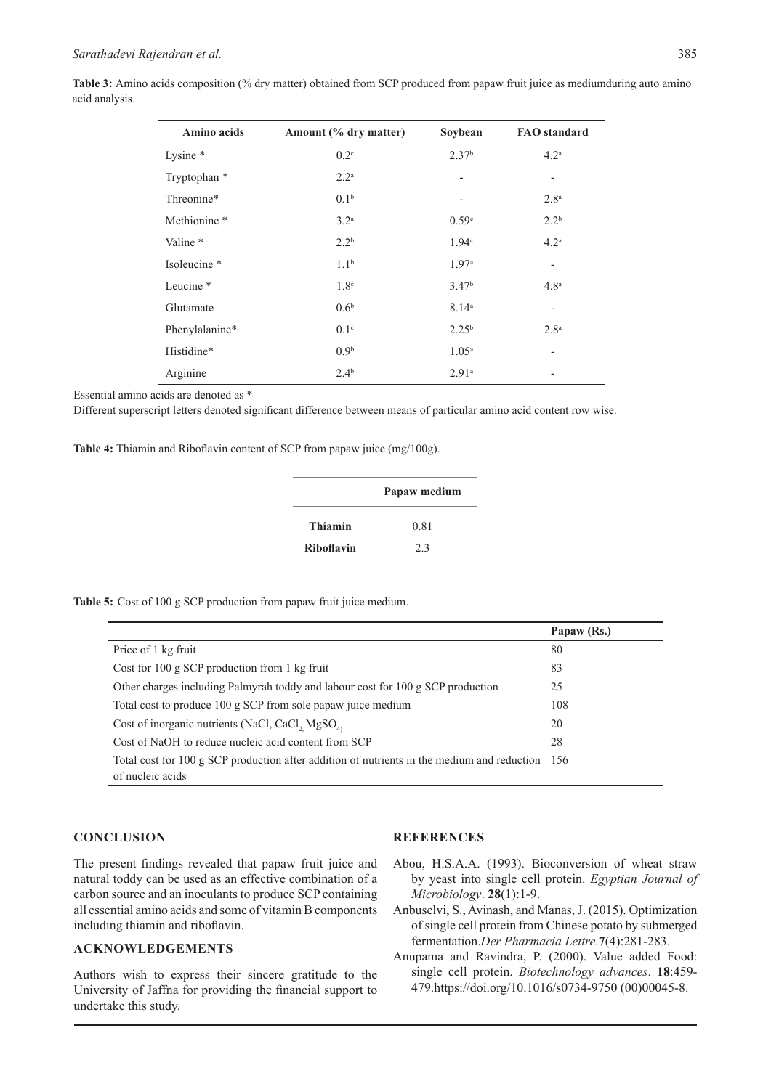|                | <b>Table 3:</b> Amino acids composition (% dry matter) obtained from SCP produced from papaw fruit juice as mediumduring auto amino |  |  |
|----------------|-------------------------------------------------------------------------------------------------------------------------------------|--|--|
| acid analysis. |                                                                                                                                     |  |  |

| Amino acids             | Amount (% dry matter) | Soybean                  | <b>FAO</b> standard      |
|-------------------------|-----------------------|--------------------------|--------------------------|
| Lysine *                | $0.2^{\circ}$         | 2.37 <sup>b</sup>        | 4.2 <sup>a</sup>         |
| Tryptophan *            | $2.2^{\rm a}$         | $\overline{\phantom{a}}$ | $\overline{\phantom{a}}$ |
| Threonine*              | 0.1 <sup>b</sup>      | $\overline{\phantom{0}}$ | 2.8 <sup>a</sup>         |
| Methionine <sup>*</sup> | 3.2 <sup>a</sup>      | 0.59 <sup>c</sup>        | $2.2^{b}$                |
| Valine <sup>*</sup>     | $2.2^{b}$             | 1.94 <sup>c</sup>        | 4.2 <sup>a</sup>         |
| Isoleucine *            | 1.1 <sup>b</sup>      | 1.97 <sup>a</sup>        | $\overline{\phantom{0}}$ |
| Leucine <sup>*</sup>    | 1.8 <sup>c</sup>      | 3.47 <sup>b</sup>        | 4.8 <sup>a</sup>         |
| Glutamate               | 0.6 <sup>b</sup>      | 8.14 <sup>a</sup>        | $\overline{\phantom{a}}$ |
| Phenylalanine*          | 0.1 <sup>c</sup>      | $2.25^{b}$               | 2.8 <sup>a</sup>         |
| Histidine*              | 0.9 <sup>b</sup>      | $1.05^{\rm a}$           | $\overline{\phantom{a}}$ |
| Arginine                | $2.4^{b}$             | $2.91^{\circ}$           |                          |

Essential amino acids are denoted as \*

Different superscript letters denoted significant difference between means of particular amino acid content row wise.

**Table 4:** Thiamin and Riboflavin content of SCP from papaw juice (mg/100g).

|                   | Papaw medium |  |
|-------------------|--------------|--|
| <b>Thiamin</b>    | 0.81         |  |
| <b>Riboflavin</b> | 2.3          |  |

**Table 5:** Cost of 100 g SCP production from papaw fruit juice medium.

|                                                                                                                     | Papaw (Rs.) |
|---------------------------------------------------------------------------------------------------------------------|-------------|
| Price of 1 kg fruit                                                                                                 | 80          |
| Cost for 100 g SCP production from 1 kg fruit                                                                       | 83          |
| Other charges including Palmyrah toddy and labour cost for 100 g SCP production                                     | 25          |
| Total cost to produce 100 g SCP from sole papaw juice medium                                                        | 108         |
| Cost of inorganic nutrients (NaCl, CaCl, MgSO <sub>4)</sub>                                                         | 20          |
| Cost of NaOH to reduce nucleic acid content from SCP                                                                | 28          |
| Total cost for 100 g SCP production after addition of nutrients in the medium and reduction 156<br>of nucleic acids |             |

#### **CONCLUSION**

The present findings revealed that papaw fruit juice and natural toddy can be used as an effective combination of a carbon source and an inoculants to produce SCP containing all essential amino acids and some of vitamin B components including thiamin and riboflavin.

### **ACKNOWLEDGEMENTS**

Authors wish to express their sincere gratitude to the University of Jaffna for providing the financial support to undertake this study.

#### **REFERENCES**

- Abou, H.S.A.A. (1993). Bioconversion of wheat straw by yeast into single cell protein. *Egyptian Journal of Microbiology*. **28**(1):1-9.
- Anbuselvi, S., Avinash, and Manas, J. (2015). Optimization of single cell protein from Chinese potato by submerged fermentation.*Der Pharmacia Lettre*.**7**(4):281-283.
- Anupama and Ravindra, P. (2000). Value added Food: single cell protein. *Biotechnology advances*. **18**:459- 479.https://doi.org/10.1016/s0734-9750 (00)00045-8.